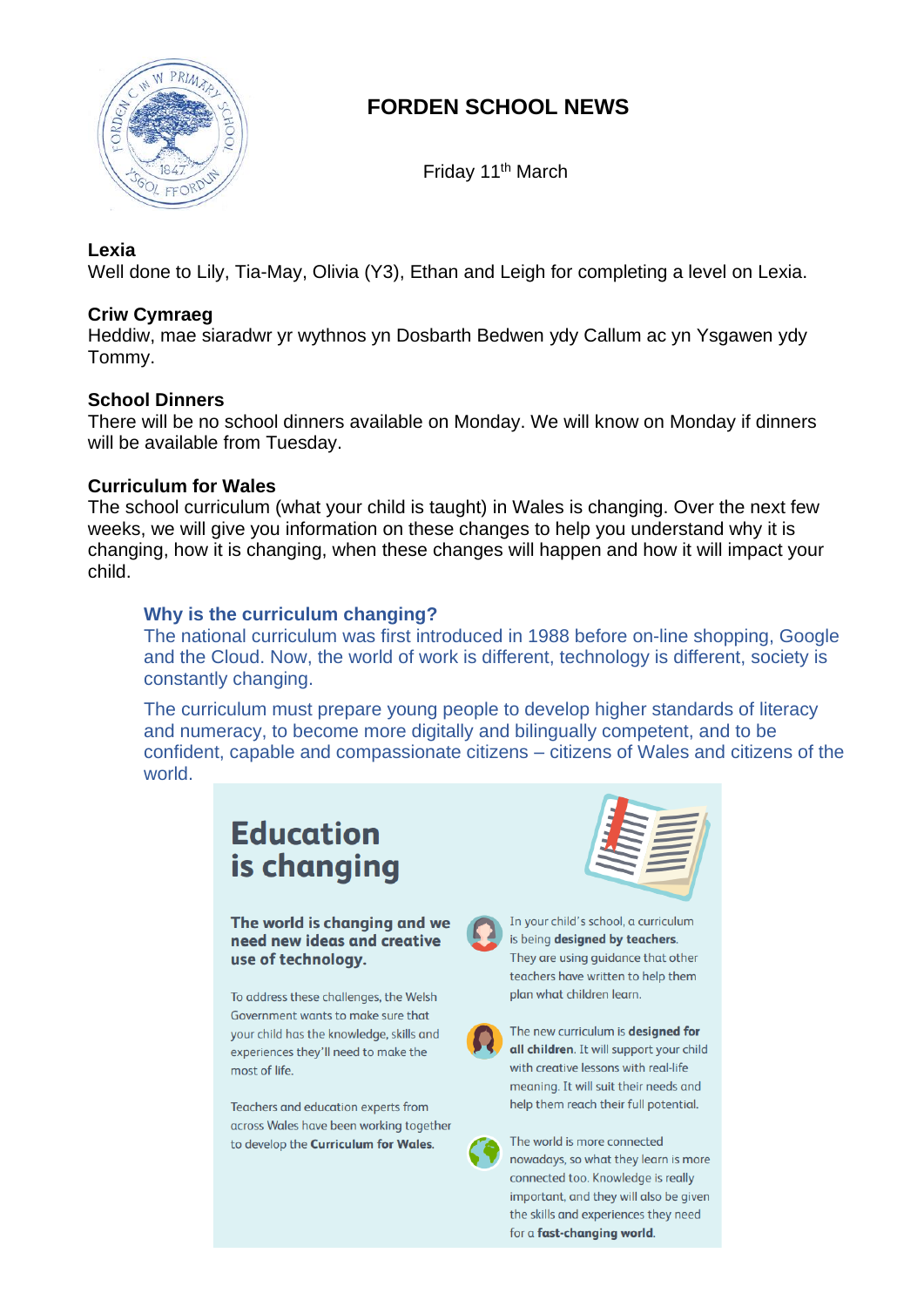

# **FORDEN SCHOOL NEWS**

Friday 11th March

#### **Lexia**

Well done to Lily, Tia-May, Olivia (Y3), Ethan and Leigh for completing a level on Lexia.

# **Criw Cymraeg**

Heddiw, mae siaradwr yr wythnos yn Dosbarth Bedwen ydy Callum ac yn Ysgawen ydy Tommy.

# **School Dinners**

There will be no school dinners available on Monday. We will know on Monday if dinners will be available from Tuesday.

# **Curriculum for Wales**

The school curriculum (what your child is taught) in Wales is changing. Over the next few weeks, we will give you information on these changes to help you understand why it is changing, how it is changing, when these changes will happen and how it will impact your child.

# **Why is the curriculum changing?**

The national curriculum was first introduced in 1988 before on-line shopping, Google and the Cloud. Now, the world of work is different, technology is different, society is constantly changing.

The curriculum must prepare young people to develop higher standards of literacy and numeracy, to become more digitally and bilingually competent, and to be confident, capable and compassionate citizens – citizens of Wales and citizens of the world.

# **Education** is changing

The world is changing and we need new ideas and creative use of technology.

To address these challenges, the Welsh Government wants to make sure that vour child has the knowledge, skills and experiences they'll need to make the most of life

Teachers and education experts from across Wales have been working together to develop the Curriculum for Wales.





In your child's school, a curriculum is being designed by teachers. They are using guidance that other teachers have written to help them plan what children learn.



The new curriculum is designed for all children. It will support your child with creative lessons with real-life meaning. It will suit their needs and help them reach their full potential.

The world is more connected nowadays, so what they learn is more connected too. Knowledge is really important, and they will also be given the skills and experiences they need for a fast-changing world.